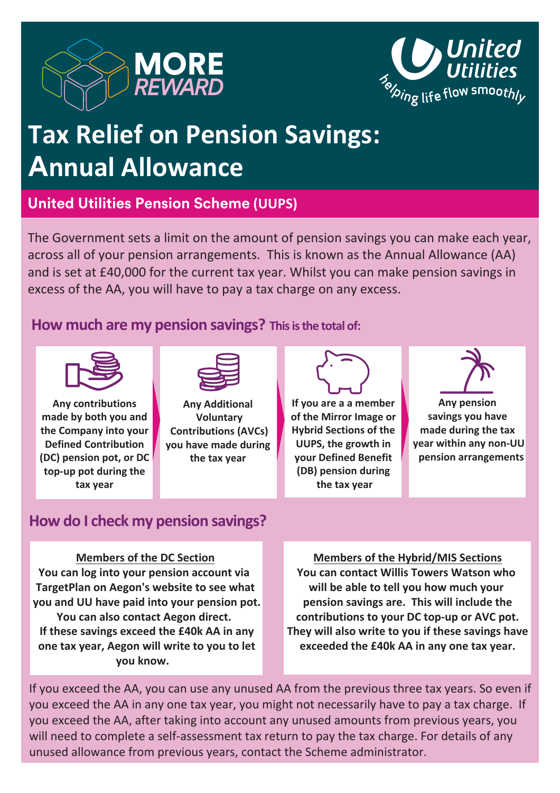



# **Tax Relief on Pension Savings: A**nnual Allowance

**United Utilities Pension Scheme (UUPS)** 

The Government sets a limit on the amount of pension savings you can make each year, across all of your pension arrangements. This is known as the Annual Allowance (AA) and is set at £40,000 for the current tax year. Whilst you can make pension savings in excess of the AA, you will have to pay a tax charge on any excess.

# How much are my pension savings? This is the total of:



**Any contributions** made by both you and the Company into your **Defined Contribution (DC) pension pot, or DC** top-up pot during the tax year



**Any Additional Voluntary ZContributions (AVCs) L**you have made during the tax year

**If you are a a member of the Mirror Image or Hybrid Sections of the UUPS, the growth in Lour Defined Benefit** (DB) pension during the tax year



**Any pension** savings you have **made** during the tax **LADA**<br>**Lightna**<br>**Lightna**<br>**Lightna**<br> **Lightna**<br> **Lightna**<br> **Lightna**<br> **Lightna**<br> **Lightna**<br> **Lightna**<br> **Lightna**<br> **Lightna**<br> **Lightnaa**<br> **Lightnaa pension arrangements** 

# How do I check my pension savings?

#### **Members of the DC Section**

You can log into your pension account via **TargetPlan on Aegon's website to see what you and UU have paid into your pension pot. You can also contact Aegon direct. If these savings exceed the £40k AA in any one tax year, Aegon will write to you to let you know.** 

**Members of the Hybrid/MIS Sections You can contact Willis Towers Watson who** will be able to tell you how much your pension savings are. This will include the **contributions to your DC top-up or AVC pot. They will also write to you if these savings have exceeded the £40k AA in any one tax year.** 

If you exceed the AA, you can use any unused AA from the previous three tax years. So even if you exceed the AA in any one tax year, you might not necessarily have to pay a tax charge. If you exceed the AA, after taking into account any unused amounts from previous years, you will need to complete a self-assessment tax return to pay the tax charge. For details of any unused allowance from previous years, contact the Scheme administrator.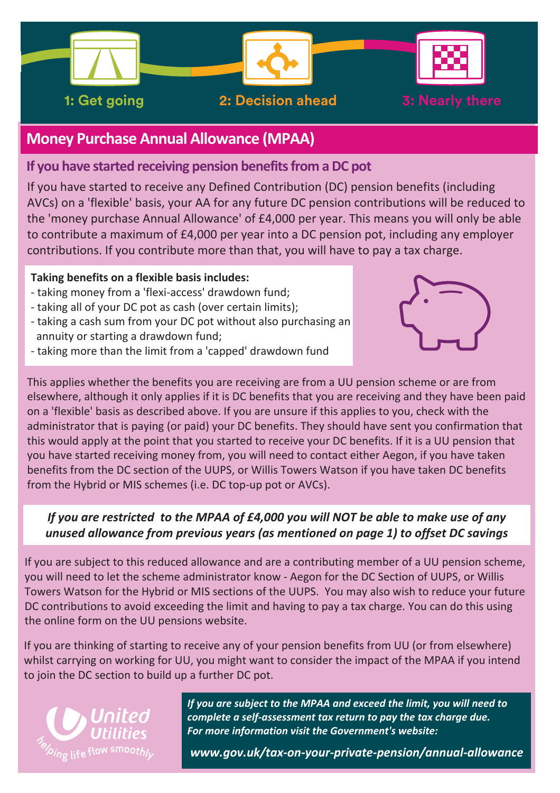

# **Money Purchase Annual Allowance (MPAA)**

#### **If you have started receiving pension benefits from a DC pot**

If you have started to receive any Defined Contribution (DC) pension benefits (including AVCs) on a 'flexible' basis, your AA for any future DC pension contributions will be reduced to the 'money purchase Annual Allowance' of £4,000 per year. This means you will only be able to contribute a maximum of £4,000 per year into a DC pension pot, including any employer contributions. If you contribute more than that, you will have to pay a tax charge.

#### **Taking benefits on a flexible basis includes:**

- taking money from a 'flexi-access' drawdown fund;
- taking all of your DC pot as cash (over certain limits);
- taking a cash sum from your DC pot without also purchasing an annuity or starting a drawdown fund;
- taking more than the limit from a 'capped' drawdown fund



 on a 'flexible' basis as described above. If you are unsure if this applies to you, check with the This applies whether the benefits you are receiving are from a UU pension scheme or are from elsewhere, although it only applies if it is DC benefits that you are receiving and they have been paid administrator that is paying (or paid) your DC benefits. They should have sent you confirmation that this would apply at the point that you started to receive your DC benefits. If it is a UU pension that you have started receiving money from, you will need to contact either Aegon, if you have taken benefits from the DC section of the UUPS, or Willis Towers Watson if you have taken DC benefits from the Hybrid or MIS schemes (i.e. DC top-up pot or AVCs).

#### *If you are restricted to the MPAA of £4,000 you will NOT be able to make use of any ƵŶƵƐĞĚallowance from previous years (as mentioned on page 1) to offset DC savings*

If you are subject to this reduced allowance and are a contributing member of a UU pension scheme, Towers Watson for the Hybrid or MIS sections of the UUPS. You may also wish to reduce your future you will need to let the scheme administrator know - Aegon for the DC Section of UUPS, or Willis DC contributions to avoid exceeding the limit and having to pay a tax charge. You can do this using the online form on the UU pensions website.

If you are thinking of starting to receive any of your pension benefits from UU (or from elsewhere) whilst carrying on working for UU, you might want to consider the impact of the MPAA if you intend to join the DC section to build up a further DC pot.



*If you are subject to the MPAA and exceed the limit, you will need to complete a self-assessment tax return to pay the tax charge due.* For more information visit the Government's website:

 $www.gov.uk/tax-on-your-private-pension/annual-allowance$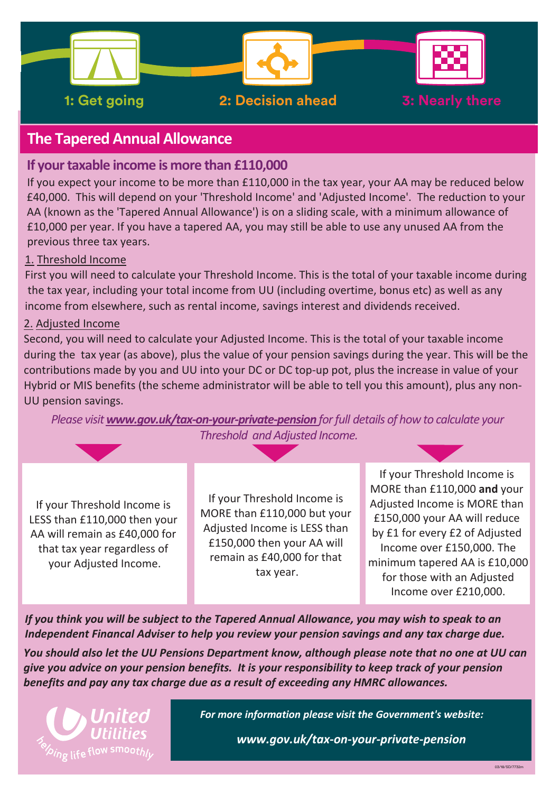

# **The Tapered Annual Allowance**

#### *If your taxable income is more than £110,000*

If you expect your income to be more than £110,000 in the tax year, your AA may be reduced below £40,000. This will depend on your 'Threshold Income' and 'Adjusted Income'. The reduction to your AA (known as the 'Tapered Annual Allowance') is on a sliding scale, with a minimum allowance of £10,000 per year. If you have a tapered AA, you may still be able to use any unused AA from the previous three tax years.

#### 1. Threshold Income

First you will need to calculate your Threshold Income. This is the total of your taxable income during the tax year, including your total income from UU (including overtime, bonus etc) as well as any income from elsewhere, such as rental income, savings interest and dividends received.

#### 2. Adjusted Income

Second, you will need to calculate your Adjusted Income. This is the total of your taxable income during the tax year (as above), plus the value of your pension savings during the year. This will be the contributions made by you and UU into your DC or DC top-up pot, plus the increase in value of your Hybrid or MIS benefits (the scheme administrator will be able to tell you this amount), plus any non-UU pension savings.

*Please visit www.gov.uk/tax-on-your-private-pension for full details of how to calculate your Threshold and Adjusted Income.* 

If your Threshold Income is If your Threshold Income is<br>
LESS than £110,000 then your<br>
Adjusted Income is MORE than<br>
MORE than £110,000 but your<br>
MORE than £110,000 but your<br>
MORE than £110,000 but your<br>
Adjusted Income is MORE than<br>
E150,000 your AA that tax year regardless of that tax year regardless of that tax year regardless of remain as £40,000 for that<br>your Adjusted Income. tax year. the searish an Adjusted unitsed for those with an Adjusted Income over £210,000.

*If you think you will be subject to the Tapered Annual Allowance, you may wish to speak to an Independent Financal Adviser to help vou review your pension savinas and any tax charge due.* 

You should also let the UU Pensions Department know, although please note that no one at UU can give you advice on your pension benefits. It is your responsibility to keep track of your pension *benefits and pay any tax charge due as a result of exceeding any HMRC allowances.* 



For more information please visit the Government's website:

www.gov.uk/tax-on-your-private-pension